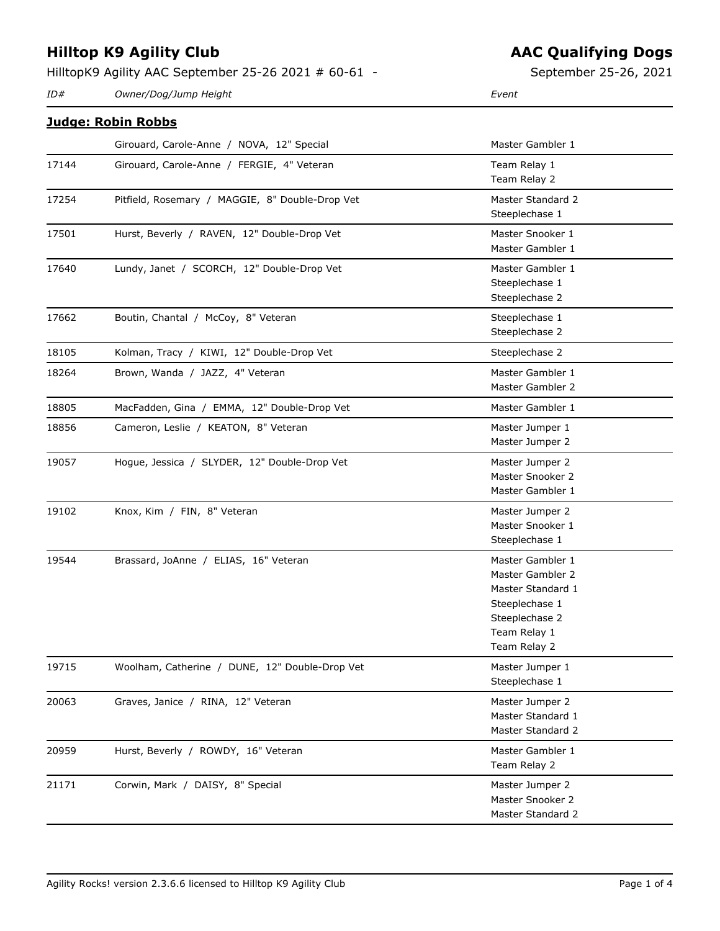#### HilltopK9 Agility AAC September 25-26 2021 # 60-61 -

*ID# Owner/Dog/Jump Height Event*

| <u> Juage: Robin Robbs</u> |                                                 |                   |  |  |
|----------------------------|-------------------------------------------------|-------------------|--|--|
|                            | Girouard, Carole-Anne / NOVA, 12" Special       | Master Gambler 1  |  |  |
| 17144                      | Girouard, Carole-Anne / FERGIE, 4" Veteran      | Team Relay 1      |  |  |
|                            |                                                 | Team Relay 2      |  |  |
| 17254                      | Pitfield, Rosemary / MAGGIE, 8" Double-Drop Vet | Master Standard 2 |  |  |
|                            |                                                 | Steeplechase 1    |  |  |
| 17501                      | Hurst, Beverly / RAVEN, 12" Double-Drop Vet     | Master Snooker 1  |  |  |
|                            |                                                 | Master Gambler 1  |  |  |
| 17640                      | Lundy, Janet / SCORCH, 12" Double-Drop Vet      | Master Gambler 1  |  |  |
|                            |                                                 | Steeplechase 1    |  |  |
|                            |                                                 | Steeplechase 2    |  |  |
| 17662                      | Boutin, Chantal / McCoy, 8" Veteran             | Steeplechase 1    |  |  |
|                            |                                                 | Steeplechase 2    |  |  |
| 18105                      | Kolman, Tracy / KIWI, 12" Double-Drop Vet       | Steeplechase 2    |  |  |
| 18264                      | Brown, Wanda / JAZZ, 4" Veteran                 | Master Gambler 1  |  |  |
|                            |                                                 | Master Gambler 2  |  |  |
| 18805                      | MacFadden, Gina / EMMA, 12" Double-Drop Vet     | Master Gambler 1  |  |  |
| 18856                      | Cameron, Leslie / KEATON, 8" Veteran            | Master Jumper 1   |  |  |
|                            |                                                 | Master Jumper 2   |  |  |
| 19057                      | Hogue, Jessica / SLYDER, 12" Double-Drop Vet    | Master Jumper 2   |  |  |
|                            |                                                 | Master Snooker 2  |  |  |
|                            |                                                 | Master Gambler 1  |  |  |
| 19102                      | Knox, Kim / FIN, 8" Veteran                     | Master Jumper 2   |  |  |
|                            |                                                 | Master Snooker 1  |  |  |
|                            |                                                 | Steeplechase 1    |  |  |
| 19544                      | Brassard, JoAnne / ELIAS, 16" Veteran           | Master Gambler 1  |  |  |
|                            |                                                 | Master Gambler 2  |  |  |
|                            |                                                 | Master Standard 1 |  |  |
|                            |                                                 | Steeplechase 1    |  |  |
|                            |                                                 | Steeplechase 2    |  |  |
|                            |                                                 | Team Relay 1      |  |  |
|                            |                                                 | Team Relay 2      |  |  |
| 19715                      | Woolham, Catherine / DUNE, 12" Double-Drop Vet  | Master Jumper 1   |  |  |
|                            |                                                 | Steeplechase 1    |  |  |

20063 Graves, Janice / RINA, 12" Veteran Master Jumper 2

20959 Hurst, Beverly / ROWDY, 16" Veteran Master Gambler 1

21171 Corwin, Mark / DAISY, 8" Special Master Jumper 2

# **AAC Qualifying Dogs**

September 25-26, 2021

Master Standard 1 Master Standard 2

Team Relay 2

Master Snooker 2 Master Standard 2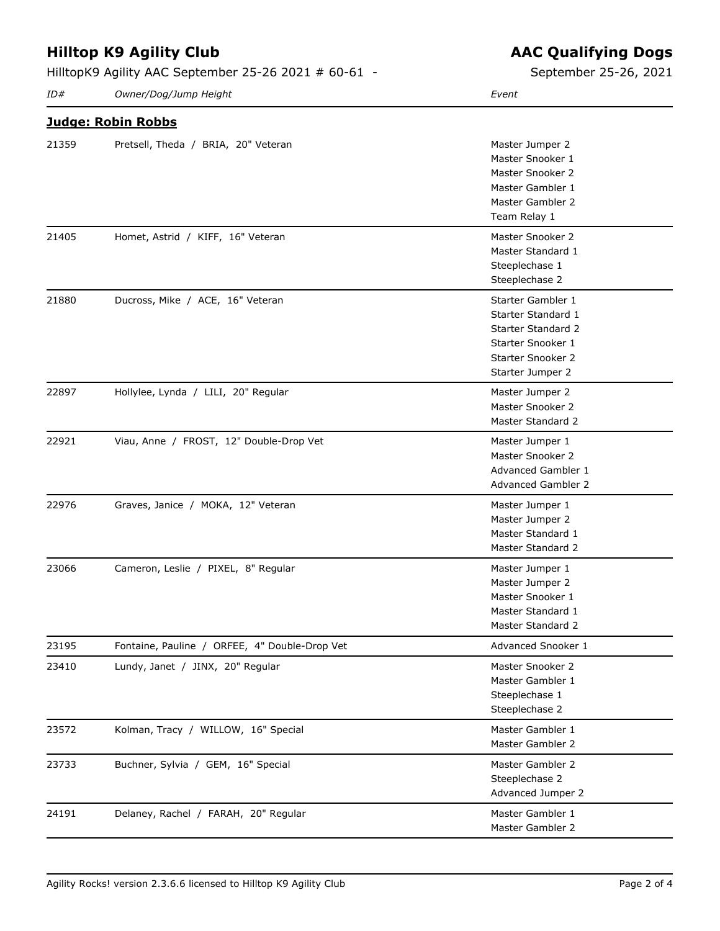HilltopK9 Agility AAC September 25-26 2021 # 60-61 -

21359 Pretsell, Theda / BRIA, 20" Veteran Master Jumper 2

*ID# Owner/Dog/Jump Height Event*

**Judge: Robin Robbs**

L,

 $\overline{\phantom{0}}$ 

 $\overline{a}$ 

 $\overline{a}$ 

| September 25-26, 2021 |  |  |
|-----------------------|--|--|

Master Snooker 1

|       |                                               | Master Snooker 2<br>Master Gambler 1<br>Master Gambler 2<br>Team Relay 1                                                           |
|-------|-----------------------------------------------|------------------------------------------------------------------------------------------------------------------------------------|
| 21405 | Homet, Astrid / KIFF, 16" Veteran             | Master Snooker 2<br>Master Standard 1<br>Steeplechase 1<br>Steeplechase 2                                                          |
| 21880 | Ducross, Mike / ACE, 16" Veteran              | Starter Gambler 1<br>Starter Standard 1<br>Starter Standard 2<br>Starter Snooker 1<br><b>Starter Snooker 2</b><br>Starter Jumper 2 |
| 22897 | Hollylee, Lynda / LILI, 20" Regular           | Master Jumper 2<br>Master Snooker 2<br>Master Standard 2                                                                           |
| 22921 | Viau, Anne / FROST, 12" Double-Drop Vet       | Master Jumper 1<br>Master Snooker 2<br>Advanced Gambler 1<br><b>Advanced Gambler 2</b>                                             |
| 22976 | Graves, Janice / MOKA, 12" Veteran            | Master Jumper 1<br>Master Jumper 2<br>Master Standard 1<br>Master Standard 2                                                       |
| 23066 | Cameron, Leslie / PIXEL, 8" Regular           | Master Jumper 1<br>Master Jumper 2<br>Master Snooker 1<br>Master Standard 1<br>Master Standard 2                                   |
| 23195 | Fontaine, Pauline / ORFEE, 4" Double-Drop Vet | Advanced Snooker 1                                                                                                                 |
| 23410 | Lundy, Janet / JINX, 20" Regular              | Master Snooker 2<br>Master Gambler 1<br>Steeplechase 1<br>Steeplechase 2                                                           |
| 23572 | Kolman, Tracy / WILLOW, 16" Special           | Master Gambler 1<br>Master Gambler 2                                                                                               |
| 23733 | Buchner, Sylvia / GEM, 16" Special            | Master Gambler 2<br>Steeplechase 2<br>Advanced Jumper 2                                                                            |
| 24191 | Delaney, Rachel / FARAH, 20" Regular          | Master Gambler 1<br>Master Gambler 2                                                                                               |

### **AAC Qualifying Dogs**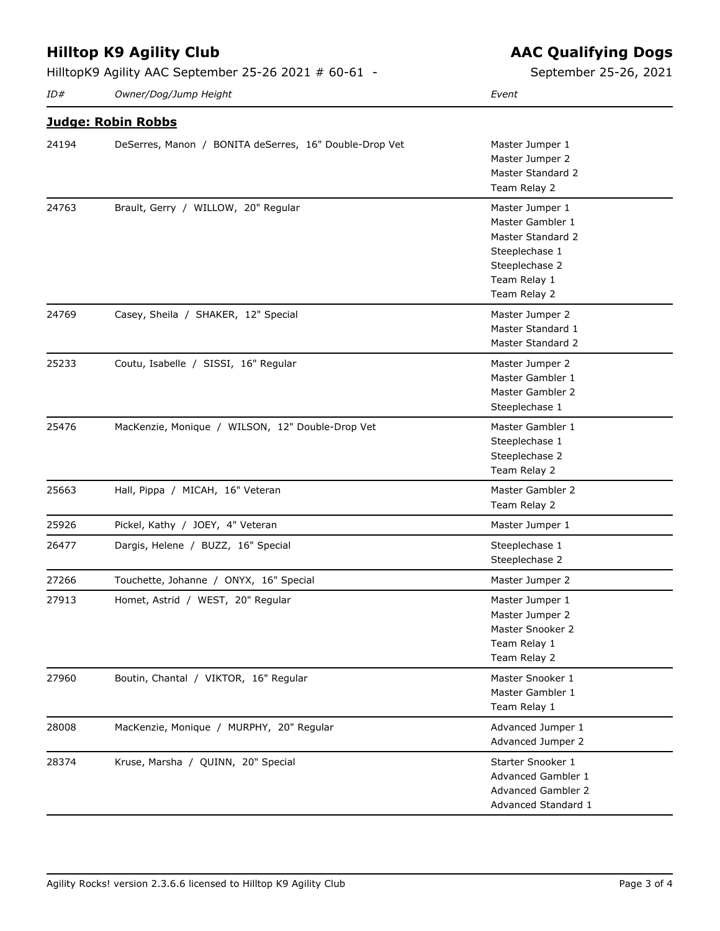HilltopK9 Agility AAC September 25-26 2021 # 60-61 -

*ID# Owner/Dog/Jump Height Event*

**AAC Qualifying Dogs**

September 25-26, 2021

|       | <u> Judge: Robin Robbs</u>                             |                                                                                                                              |
|-------|--------------------------------------------------------|------------------------------------------------------------------------------------------------------------------------------|
| 24194 | DeSerres, Manon / BONITA deSerres, 16" Double-Drop Vet | Master Jumper 1<br>Master Jumper 2<br>Master Standard 2<br>Team Relay 2                                                      |
| 24763 | Brault, Gerry / WILLOW, 20" Regular                    | Master Jumper 1<br>Master Gambler 1<br>Master Standard 2<br>Steeplechase 1<br>Steeplechase 2<br>Team Relay 1<br>Team Relay 2 |
| 24769 | Casey, Sheila / SHAKER, 12" Special                    | Master Jumper 2<br>Master Standard 1<br>Master Standard 2                                                                    |
| 25233 | Coutu, Isabelle / SISSI, 16" Regular                   | Master Jumper 2<br>Master Gambler 1<br>Master Gambler 2<br>Steeplechase 1                                                    |
| 25476 | MacKenzie, Monique / WILSON, 12" Double-Drop Vet       | Master Gambler 1<br>Steeplechase 1<br>Steeplechase 2<br>Team Relay 2                                                         |
| 25663 | Hall, Pippa / MICAH, 16" Veteran                       | Master Gambler 2<br>Team Relay 2                                                                                             |
| 25926 | Pickel, Kathy / JOEY, 4" Veteran                       | Master Jumper 1                                                                                                              |
| 26477 | Dargis, Helene / BUZZ, 16" Special                     | Steeplechase 1<br>Steeplechase 2                                                                                             |
| 27266 | Touchette, Johanne / ONYX, 16" Special                 | Master Jumper 2                                                                                                              |
| 27913 | Homet, Astrid / WEST, 20" Regular                      | Master Jumper 1<br>Master Jumper 2<br>Master Snooker 2<br>Team Relay 1<br>Team Relay 2                                       |
| 27960 | Boutin, Chantal / VIKTOR, 16" Regular                  | Master Snooker 1<br>Master Gambler 1<br>Team Relay 1                                                                         |
| 28008 | MacKenzie, Monique / MURPHY, 20" Regular               | Advanced Jumper 1<br>Advanced Jumper 2                                                                                       |
| 28374 | Kruse, Marsha / QUINN, 20" Special                     | Starter Snooker 1<br>Advanced Gambler 1<br>Advanced Gambler 2<br>Advanced Standard 1                                         |